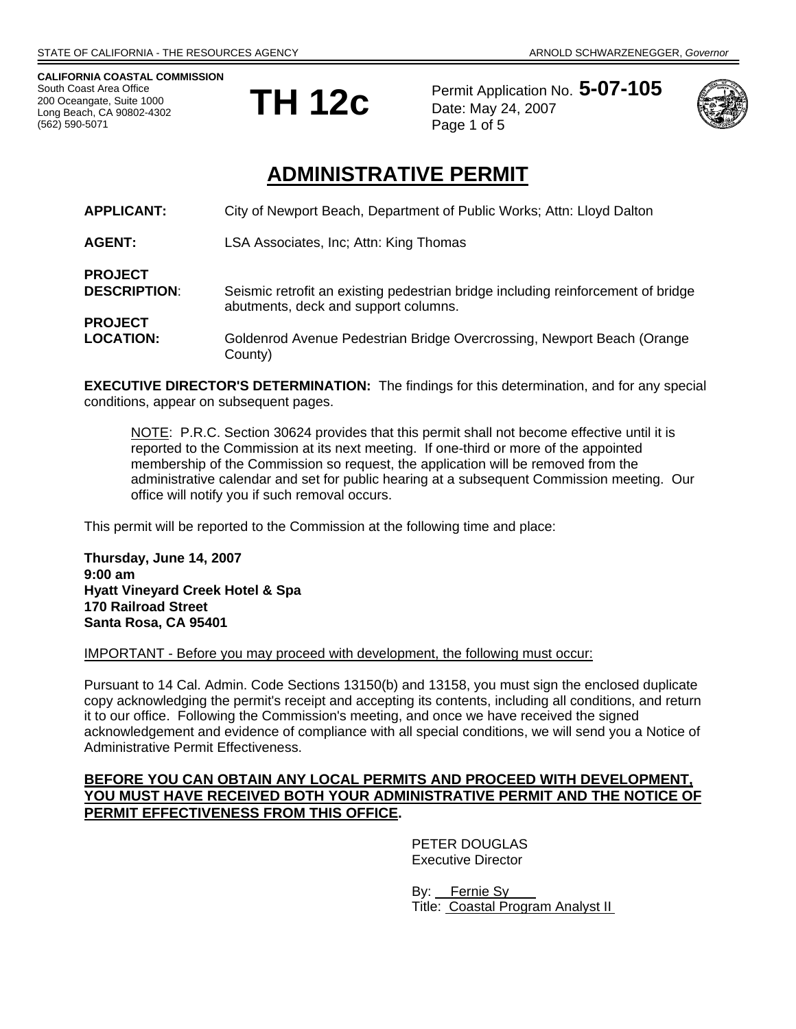**CALIFORNIA COASTAL COMMISSION**  South Coast Area Office 200 Oceangate, Suite 1000 Long Beach, CA 90802-4302 (562) 590-5071



Permit Application No. **5-07-105** Date: May 24, 2007 Page 1 of 5



# **ADMINISTRATIVE PERMIT**

| <b>APPLICANT:</b>   | City of Newport Beach, Department of Public Works; Attn: Lloyd Dalton            |
|---------------------|----------------------------------------------------------------------------------|
| <b>AGENT:</b>       | LSA Associates, Inc; Attn: King Thomas                                           |
| <b>PROJECT</b>      | Seismic retrofit an existing pedestrian bridge including reinforcement of bridge |
| <b>DESCRIPTION:</b> | abutments, deck and support columns.                                             |
| <b>PROJECT</b>      | Goldenrod Avenue Pedestrian Bridge Overcrossing, Newport Beach (Orange           |
| <b>LOCATION:</b>    | County)                                                                          |

**EXECUTIVE DIRECTOR'S DETERMINATION:** The findings for this determination, and for any special conditions, appear on subsequent pages.

NOTE: P.R.C. Section 30624 provides that this permit shall not become effective until it is reported to the Commission at its next meeting. If one-third or more of the appointed membership of the Commission so request, the application will be removed from the administrative calendar and set for public hearing at a subsequent Commission meeting. Our office will notify you if such removal occurs.

This permit will be reported to the Commission at the following time and place:

**Thursday, June 14, 2007 9:00 am Hyatt Vineyard Creek Hotel & Spa 170 Railroad Street Santa Rosa, CA 95401** 

IMPORTANT - Before you may proceed with development, the following must occur:

Pursuant to 14 Cal. Admin. Code Sections 13150(b) and 13158, you must sign the enclosed duplicate copy acknowledging the permit's receipt and accepting its contents, including all conditions, and return it to our office. Following the Commission's meeting, and once we have received the signed acknowledgement and evidence of compliance with all special conditions, we will send you a Notice of Administrative Permit Effectiveness.

## **BEFORE YOU CAN OBTAIN ANY LOCAL PERMITS AND PROCEED WITH DEVELOPMENT, YOU MUST HAVE RECEIVED BOTH YOUR ADMINISTRATIVE PERMIT AND THE NOTICE OF PERMIT EFFECTIVENESS FROM THIS OFFICE.**

 PETER DOUGLAS Executive Director

 By: Fernie Sy Title: Coastal Program Analyst II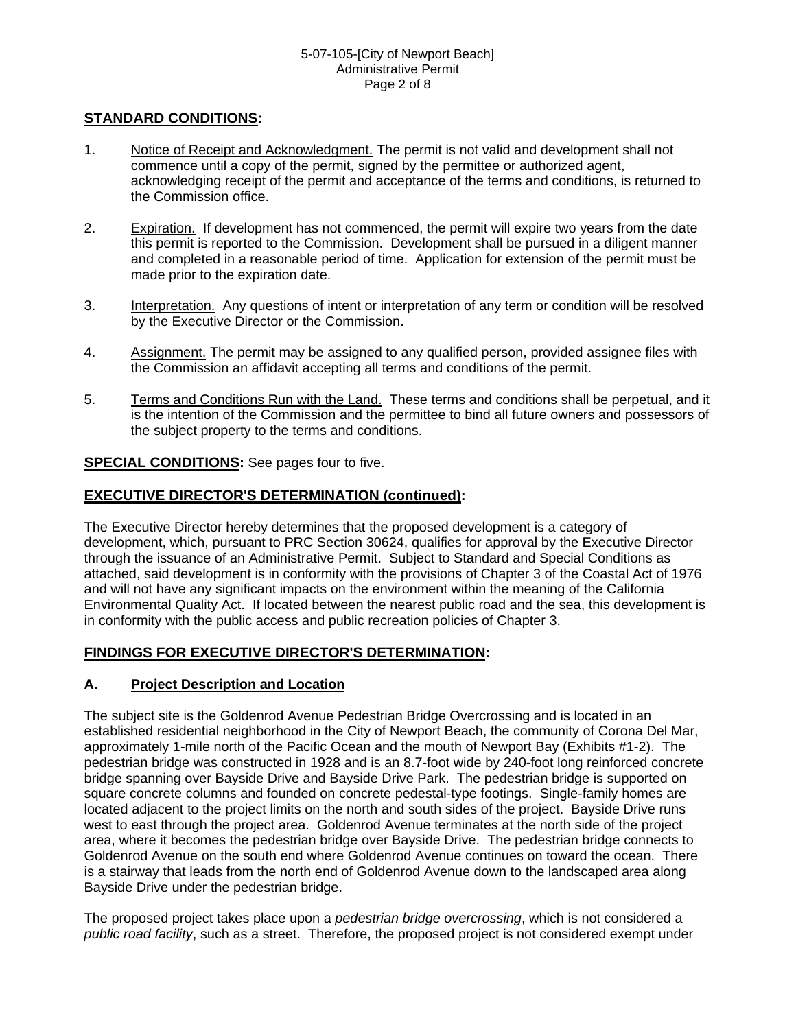# **STANDARD CONDITIONS:**

- 1. Notice of Receipt and Acknowledgment. The permit is not valid and development shall not commence until a copy of the permit, signed by the permittee or authorized agent, acknowledging receipt of the permit and acceptance of the terms and conditions, is returned to the Commission office.
- 2. Expiration. If development has not commenced, the permit will expire two years from the date this permit is reported to the Commission. Development shall be pursued in a diligent manner and completed in a reasonable period of time. Application for extension of the permit must be made prior to the expiration date.
- 3. Interpretation. Any questions of intent or interpretation of any term or condition will be resolved by the Executive Director or the Commission.
- 4. Assignment. The permit may be assigned to any qualified person, provided assignee files with the Commission an affidavit accepting all terms and conditions of the permit.
- 5. Terms and Conditions Run with the Land. These terms and conditions shall be perpetual, and it is the intention of the Commission and the permittee to bind all future owners and possessors of the subject property to the terms and conditions.

# **SPECIAL CONDITIONS:** See pages four to five.

# **EXECUTIVE DIRECTOR'S DETERMINATION (continued):**

The Executive Director hereby determines that the proposed development is a category of development, which, pursuant to PRC Section 30624, qualifies for approval by the Executive Director through the issuance of an Administrative Permit. Subject to Standard and Special Conditions as attached, said development is in conformity with the provisions of Chapter 3 of the Coastal Act of 1976 and will not have any significant impacts on the environment within the meaning of the California Environmental Quality Act. If located between the nearest public road and the sea, this development is in conformity with the public access and public recreation policies of Chapter 3.

# **FINDINGS FOR EXECUTIVE DIRECTOR'S DETERMINATION:**

### **A. Project Description and Location**

The subject site is the Goldenrod Avenue Pedestrian Bridge Overcrossing and is located in an established residential neighborhood in the City of Newport Beach, the community of Corona Del Mar, approximately 1-mile north of the Pacific Ocean and the mouth of Newport Bay (Exhibits #1-2). The pedestrian bridge was constructed in 1928 and is an 8.7-foot wide by 240-foot long reinforced concrete bridge spanning over Bayside Drive and Bayside Drive Park. The pedestrian bridge is supported on square concrete columns and founded on concrete pedestal-type footings. Single-family homes are located adjacent to the project limits on the north and south sides of the project. Bayside Drive runs west to east through the project area. Goldenrod Avenue terminates at the north side of the project area, where it becomes the pedestrian bridge over Bayside Drive. The pedestrian bridge connects to Goldenrod Avenue on the south end where Goldenrod Avenue continues on toward the ocean. There is a stairway that leads from the north end of Goldenrod Avenue down to the landscaped area along Bayside Drive under the pedestrian bridge.

The proposed project takes place upon a *pedestrian bridge overcrossing*, which is not considered a *public road facility*, such as a street. Therefore, the proposed project is not considered exempt under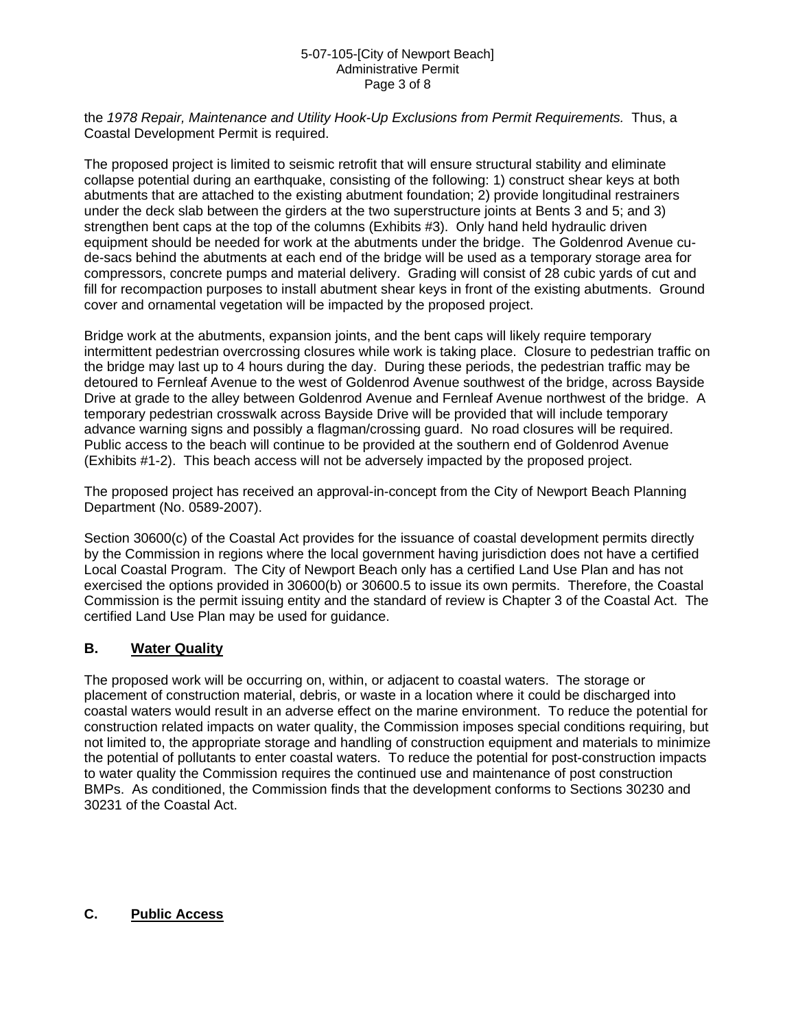#### 5-07-105-[City of Newport Beach] Administrative Permit Page 3 of 8

the *1978 Repair, Maintenance and Utility Hook-Up Exclusions from Permit Requirements.* Thus, a Coastal Development Permit is required.

The proposed project is limited to seismic retrofit that will ensure structural stability and eliminate collapse potential during an earthquake, consisting of the following: 1) construct shear keys at both abutments that are attached to the existing abutment foundation; 2) provide longitudinal restrainers under the deck slab between the girders at the two superstructure joints at Bents 3 and 5; and 3) strengthen bent caps at the top of the columns (Exhibits #3). Only hand held hydraulic driven equipment should be needed for work at the abutments under the bridge. The Goldenrod Avenue cude-sacs behind the abutments at each end of the bridge will be used as a temporary storage area for compressors, concrete pumps and material delivery. Grading will consist of 28 cubic yards of cut and fill for recompaction purposes to install abutment shear keys in front of the existing abutments. Ground cover and ornamental vegetation will be impacted by the proposed project.

Bridge work at the abutments, expansion joints, and the bent caps will likely require temporary intermittent pedestrian overcrossing closures while work is taking place. Closure to pedestrian traffic on the bridge may last up to 4 hours during the day. During these periods, the pedestrian traffic may be detoured to Fernleaf Avenue to the west of Goldenrod Avenue southwest of the bridge, across Bayside Drive at grade to the alley between Goldenrod Avenue and Fernleaf Avenue northwest of the bridge. A temporary pedestrian crosswalk across Bayside Drive will be provided that will include temporary advance warning signs and possibly a flagman/crossing guard. No road closures will be required. Public access to the beach will continue to be provided at the southern end of Goldenrod Avenue (Exhibits #1-2). This beach access will not be adversely impacted by the proposed project.

The proposed project has received an approval-in-concept from the City of Newport Beach Planning Department (No. 0589-2007).

Section 30600(c) of the Coastal Act provides for the issuance of coastal development permits directly by the Commission in regions where the local government having jurisdiction does not have a certified Local Coastal Program. The City of Newport Beach only has a certified Land Use Plan and has not exercised the options provided in 30600(b) or 30600.5 to issue its own permits. Therefore, the Coastal Commission is the permit issuing entity and the standard of review is Chapter 3 of the Coastal Act. The certified Land Use Plan may be used for guidance.

# **B. Water Quality**

The proposed work will be occurring on, within, or adjacent to coastal waters. The storage or placement of construction material, debris, or waste in a location where it could be discharged into coastal waters would result in an adverse effect on the marine environment. To reduce the potential for construction related impacts on water quality, the Commission imposes special conditions requiring, but not limited to, the appropriate storage and handling of construction equipment and materials to minimize the potential of pollutants to enter coastal waters. To reduce the potential for post-construction impacts to water quality the Commission requires the continued use and maintenance of post construction BMPs. As conditioned, the Commission finds that the development conforms to Sections 30230 and 30231 of the Coastal Act.

### **C. Public Access**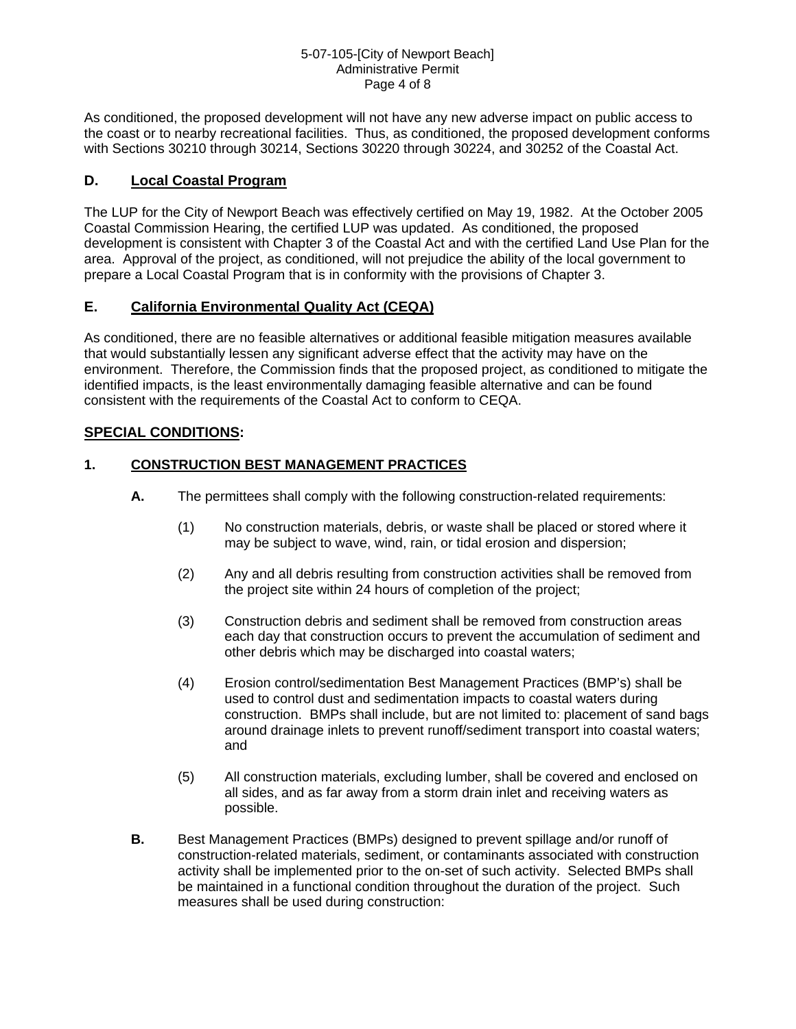### 5-07-105-[City of Newport Beach] Administrative Permit Page 4 of 8

As conditioned, the proposed development will not have any new adverse impact on public access to the coast or to nearby recreational facilities. Thus, as conditioned, the proposed development conforms with Sections 30210 through 30214, Sections 30220 through 30224, and 30252 of the Coastal Act.

# **D. Local Coastal Program**

The LUP for the City of Newport Beach was effectively certified on May 19, 1982. At the October 2005 Coastal Commission Hearing, the certified LUP was updated. As conditioned, the proposed development is consistent with Chapter 3 of the Coastal Act and with the certified Land Use Plan for the area. Approval of the project, as conditioned, will not prejudice the ability of the local government to prepare a Local Coastal Program that is in conformity with the provisions of Chapter 3.

# **E. California Environmental Quality Act (CEQA)**

As conditioned, there are no feasible alternatives or additional feasible mitigation measures available that would substantially lessen any significant adverse effect that the activity may have on the environment. Therefore, the Commission finds that the proposed project, as conditioned to mitigate the identified impacts, is the least environmentally damaging feasible alternative and can be found consistent with the requirements of the Coastal Act to conform to CEQA.

# **SPECIAL CONDITIONS:**

# **1. CONSTRUCTION BEST MANAGEMENT PRACTICES**

- **A.** The permittees shall comply with the following construction-related requirements:
	- (1) No construction materials, debris, or waste shall be placed or stored where it may be subject to wave, wind, rain, or tidal erosion and dispersion;
	- (2) Any and all debris resulting from construction activities shall be removed from the project site within 24 hours of completion of the project;
	- (3) Construction debris and sediment shall be removed from construction areas each day that construction occurs to prevent the accumulation of sediment and other debris which may be discharged into coastal waters;
	- (4) Erosion control/sedimentation Best Management Practices (BMP's) shall be used to control dust and sedimentation impacts to coastal waters during construction. BMPs shall include, but are not limited to: placement of sand bags around drainage inlets to prevent runoff/sediment transport into coastal waters; and
	- (5) All construction materials, excluding lumber, shall be covered and enclosed on all sides, and as far away from a storm drain inlet and receiving waters as possible.
- **B.** Best Management Practices (BMPs) designed to prevent spillage and/or runoff of construction-related materials, sediment, or contaminants associated with construction activity shall be implemented prior to the on-set of such activity. Selected BMPs shall be maintained in a functional condition throughout the duration of the project. Such measures shall be used during construction: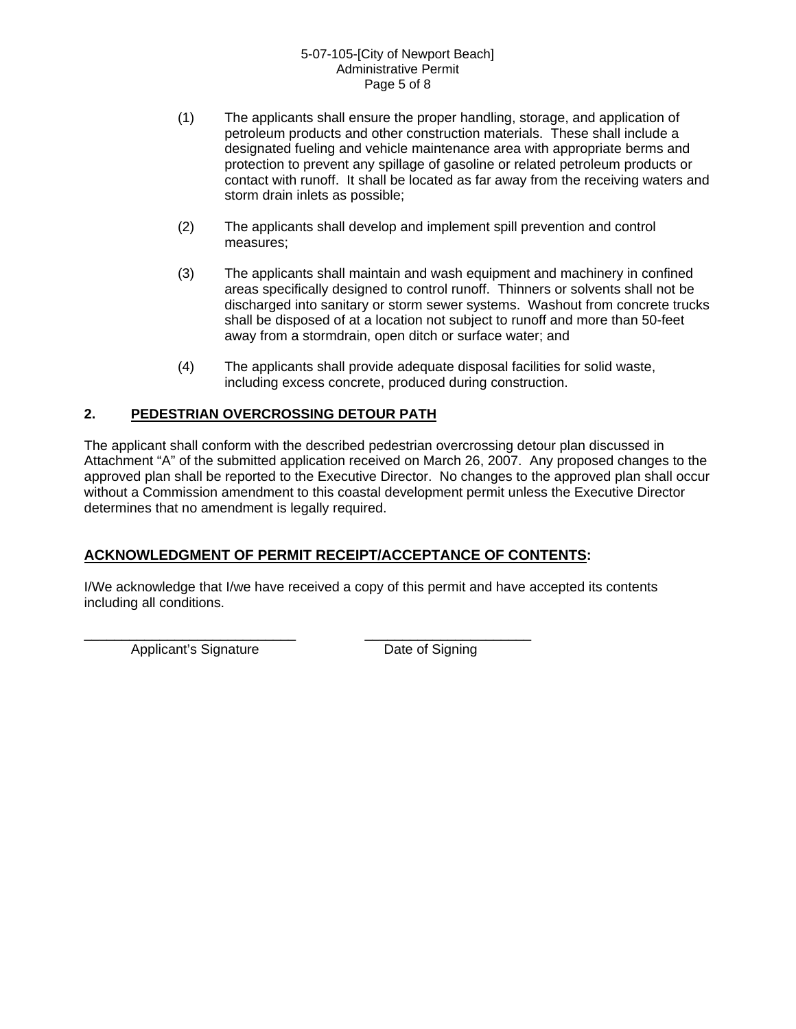### 5-07-105-[City of Newport Beach] Administrative Permit Page 5 of 8

- (1) The applicants shall ensure the proper handling, storage, and application of petroleum products and other construction materials. These shall include a designated fueling and vehicle maintenance area with appropriate berms and protection to prevent any spillage of gasoline or related petroleum products or contact with runoff. It shall be located as far away from the receiving waters and storm drain inlets as possible;
- (2) The applicants shall develop and implement spill prevention and control measures;
- (3) The applicants shall maintain and wash equipment and machinery in confined areas specifically designed to control runoff. Thinners or solvents shall not be discharged into sanitary or storm sewer systems. Washout from concrete trucks shall be disposed of at a location not subject to runoff and more than 50-feet away from a stormdrain, open ditch or surface water; and
- (4) The applicants shall provide adequate disposal facilities for solid waste, including excess concrete, produced during construction.

# **2. PEDESTRIAN OVERCROSSING DETOUR PATH**

The applicant shall conform with the described pedestrian overcrossing detour plan discussed in Attachment "A" of the submitted application received on March 26, 2007. Any proposed changes to the approved plan shall be reported to the Executive Director. No changes to the approved plan shall occur without a Commission amendment to this coastal development permit unless the Executive Director determines that no amendment is legally required.

# **ACKNOWLEDGMENT OF PERMIT RECEIPT/ACCEPTANCE OF CONTENTS:**

I/We acknowledge that I/we have received a copy of this permit and have accepted its contents including all conditions.

Applicant's Signature Date of Signing

\_\_\_\_\_\_\_\_\_\_\_\_\_\_\_\_\_\_\_\_\_\_\_\_\_\_\_\_ \_\_\_\_\_\_\_\_\_\_\_\_\_\_\_\_\_\_\_\_\_\_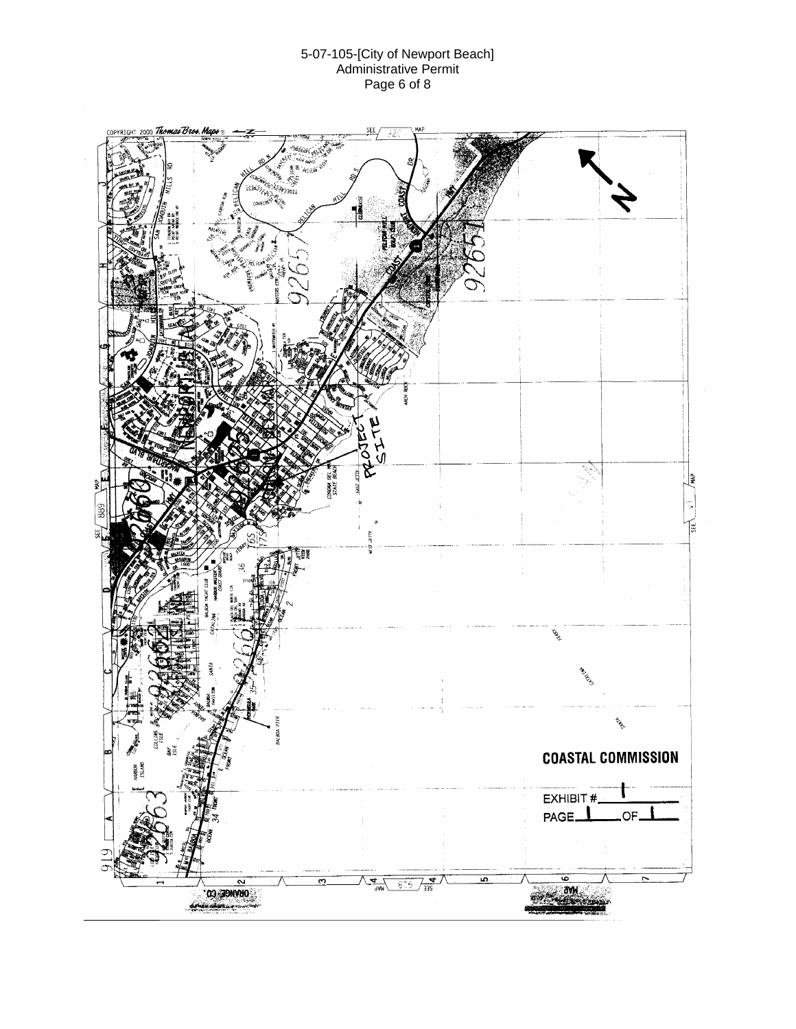### 5-07-105-[City of Newport Beach] Administrative Permit Page 6 of 8

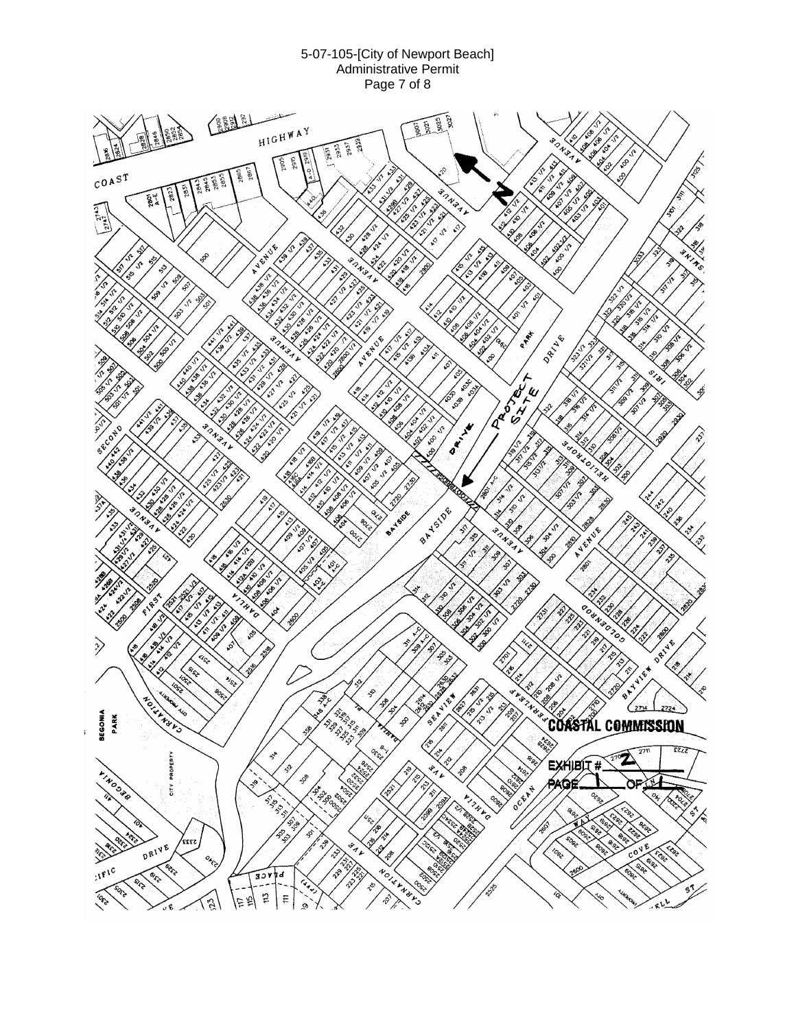### 5-07-105-[City of Newport Beach] Administrative Permit Page 7 of 8